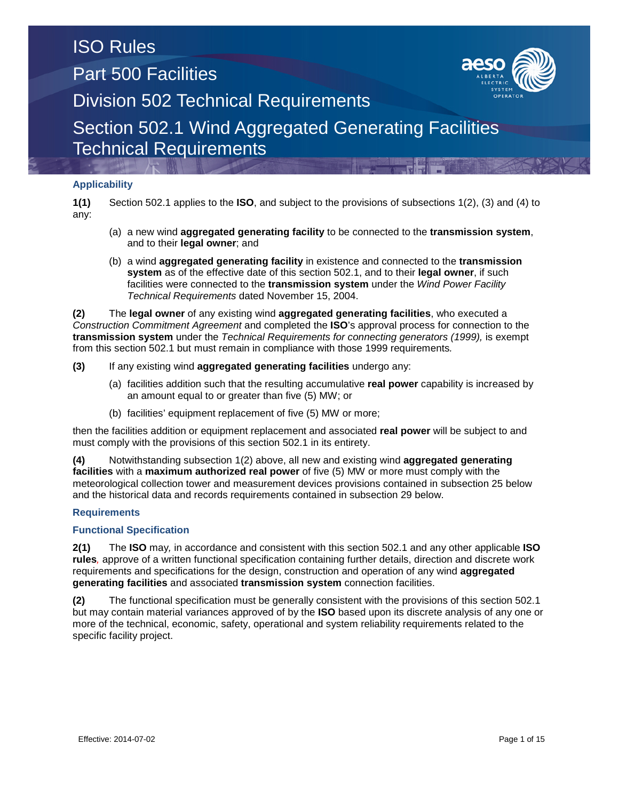### ISO Rules Part 500 Facilities



Division 502 Technical Requirements

### Section 502.1 Wind Aggregated Generating Facilities Technical Requirements

### **Applicability**

**1(1)** Section 502.1 applies to the **ISO**, and subject to the provisions of subsections 1(2), (3) and (4) to any:

- (a) a new wind **aggregated generating facility** to be connected to the **transmission system**, and to their **legal owner**; and
- (b) a wind **aggregated generating facility** in existence and connected to the **transmission system** as of the effective date of this section 502.1, and to their **legal owner**, if such facilities were connected to the **transmission system** under the *Wind Power Facility Technical Requirements* dated November 15, 2004.

**(2)** The **legal owner** of any existing wind **aggregated generating facilities**, who executed a *Construction Commitment Agreement* and completed the **ISO**'s approval process for connection to the **transmission system** under the *Technical Requirements for connecting generators (1999),* is exempt from this section 502.1 but must remain in compliance with those 1999 requirements*.*

- **(3)** If any existing wind **aggregated generating facilities** undergo any:
	- (a) facilities addition such that the resulting accumulative **real power** capability is increased by an amount equal to or greater than five (5) MW; or
	- (b) facilities' equipment replacement of five (5) MW or more;

then the facilities addition or equipment replacement and associated **real power** will be subject to and must comply with the provisions of this section 502.1 in its entirety.

**(4)** Notwithstanding subsection 1(2) above, all new and existing wind **aggregated generating facilities** with a **maximum authorized real power** of five (5) MW or more must comply with the meteorological collection tower and measurement devices provisions contained in subsection 25 below and the historical data and records requirements contained in subsection 29 below.

### **Requirements**

#### **Functional Specification**

**2(1)** The **ISO** may*,* in accordance and consistent with this section 502.1 and any other applicable **ISO rules***,* approve of a written functional specification containing further details, direction and discrete work requirements and specifications for the design, construction and operation of any wind **aggregated generating facilities** and associated **transmission system** connection facilities.

**(2)** The functional specification must be generally consistent with the provisions of this section 502.1 but may contain material variances approved of by the **ISO** based upon its discrete analysis of any one or more of the technical, economic, safety, operational and system reliability requirements related to the specific facility project.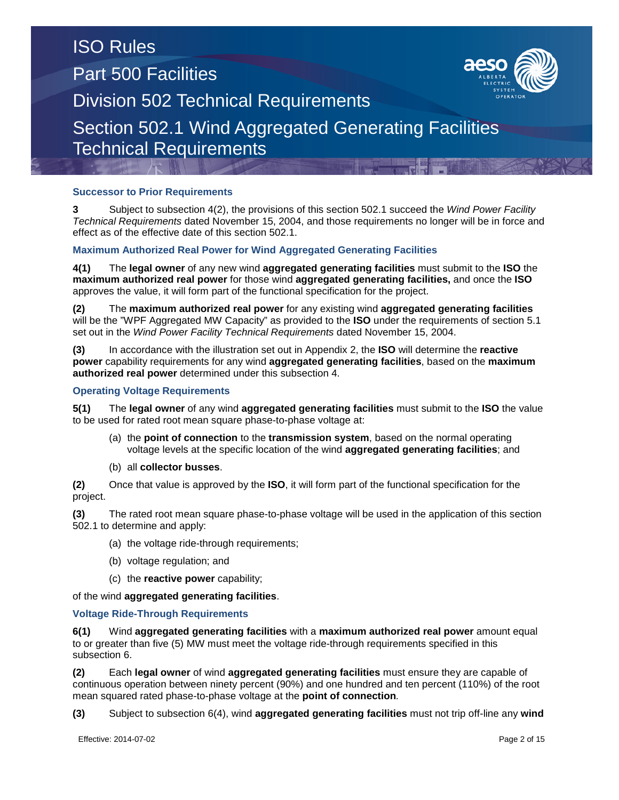### **Successor to Prior Requirements**

**3** Subject to subsection 4(2), the provisions of this section 502.1 succeed the *Wind Power Facility Technical Requirements* dated November 15, 2004, and those requirements no longer will be in force and effect as of the effective date of this section 502.1.

### **Maximum Authorized Real Power for Wind Aggregated Generating Facilities**

**4(1)** The **legal owner** of any new wind **aggregated generating facilities** must submit to the **ISO** the **maximum authorized real power** for those wind **aggregated generating facilities,** and once the **ISO** approves the value, it will form part of the functional specification for the project.

**(2)** The **maximum authorized real power** for any existing wind **aggregated generating facilities** will be the "WPF Aggregated MW Capacity" as provided to the **ISO** under the requirements of section 5.1 set out in the *Wind Power Facility Technical Requirements* dated November 15, 2004.

**(3)** In accordance with the illustration set out in Appendix 2, the **ISO** will determine the **reactive power** capability requirements for any wind **aggregated generating facilities**, based on the **maximum authorized real power** determined under this subsection 4.

### **Operating Voltage Requirements**

**5(1)** The **legal owner** of any wind **aggregated generating facilities** must submit to the **ISO** the value to be used for rated root mean square phase-to-phase voltage at:

- (a) the **point of connection** to the **transmission system**, based on the normal operating voltage levels at the specific location of the wind **aggregated generating facilities**; and
- (b) all **collector busses**.

**(2)** Once that value is approved by the **ISO**, it will form part of the functional specification for the project.

**(3)** The rated root mean square phase-to-phase voltage will be used in the application of this section 502.1 to determine and apply:

(a) the voltage ride-through requirements;

- (b) voltage regulation; and
- (c) the **reactive power** capability;

of the wind **aggregated generating facilities**.

#### **Voltage Ride-Through Requirements**

**6(1)** Wind **aggregated generating facilities** with a **maximum authorized real power** amount equal to or greater than five (5) MW must meet the voltage ride-through requirements specified in this subsection 6.

**(2)** Each **legal owner** of wind **aggregated generating facilities** must ensure they are capable of continuous operation between ninety percent (90%) and one hundred and ten percent (110%) of the root mean squared rated phase-to-phase voltage at the **point of connection***.*

**(3)** Subject to subsection 6(4), wind **aggregated generating facilities** must not trip off-line any **wind** 

Effective: 2014-07-02 Page 2 of 15

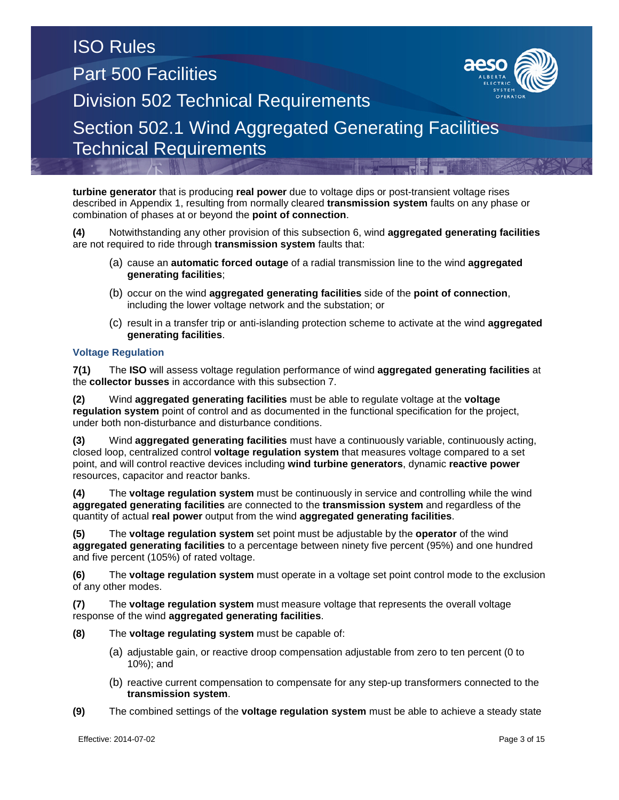**turbine generator** that is producing **real power** due to voltage dips or post-transient voltage rises described in Appendix 1, resulting from normally cleared **transmission system** faults on any phase or combination of phases at or beyond the **point of connection**.

**(4)** Notwithstanding any other provision of this subsection 6, wind **aggregated generating facilities** are not required to ride through **transmission system** faults that:

- (a) cause an **automatic forced outage** of a radial transmission line to the wind **aggregated generating facilities**;
- (b) occur on the wind **aggregated generating facilities** side of the **point of connection**, including the lower voltage network and the substation; or
- (c) result in a transfer trip or anti-islanding protection scheme to activate at the wind **aggregated generating facilities**.

### **Voltage Regulation**

**7(1)** The **ISO** will assess voltage regulation performance of wind **aggregated generating facilities** at the **collector busses** in accordance with this subsection 7.

**(2)** Wind **aggregated generating facilities** must be able to regulate voltage at the **voltage regulation system** point of control and as documented in the functional specification for the project, under both non-disturbance and disturbance conditions.

**(3)** Wind **aggregated generating facilities** must have a continuously variable, continuously acting, closed loop, centralized control **voltage regulation system** that measures voltage compared to a set point, and will control reactive devices including **wind turbine generators**, dynamic **reactive power**  resources, capacitor and reactor banks.

**(4)** The **voltage regulation system** must be continuously in service and controlling while the wind **aggregated generating facilities** are connected to the **transmission system** and regardless of the quantity of actual **real power** output from the wind **aggregated generating facilities**.

**(5)** The **voltage regulation system** set point must be adjustable by the **operator** of the wind **aggregated generating facilities** to a percentage between ninety five percent (95%) and one hundred and five percent (105%) of rated voltage.

**(6)** The **voltage regulation system** must operate in a voltage set point control mode to the exclusion of any other modes.

**(7)** The **voltage regulation system** must measure voltage that represents the overall voltage response of the wind **aggregated generating facilities**.

- **(8)** The **voltage regulating system** must be capable of:
	- (a) adjustable gain, or reactive droop compensation adjustable from zero to ten percent (0 to 10%); and
	- (b) reactive current compensation to compensate for any step-up transformers connected to the **transmission system**.
- **(9)** The combined settings of the **voltage regulation system** must be able to achieve a steady state

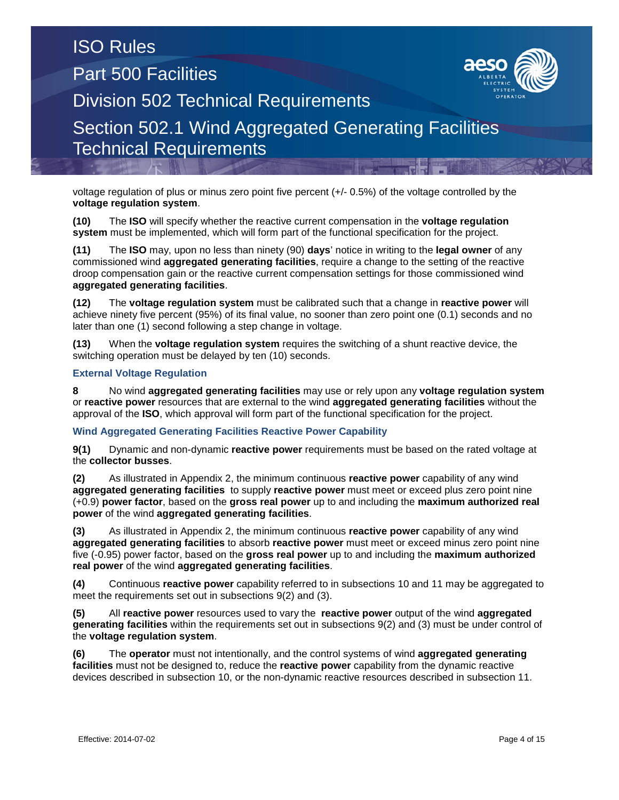voltage regulation of plus or minus zero point five percent (+/- 0.5%) of the voltage controlled by the **voltage regulation system**.

**(10)** The **ISO** will specify whether the reactive current compensation in the **voltage regulation system** must be implemented, which will form part of the functional specification for the project.

**(11)** The **ISO** may, upon no less than ninety (90) **days**' notice in writing to the **legal owner** of any commissioned wind **aggregated generating facilities**, require a change to the setting of the reactive droop compensation gain or the reactive current compensation settings for those commissioned wind **aggregated generating facilities**.

**(12)** The **voltage regulation system** must be calibrated such that a change in **reactive power** will achieve ninety five percent (95%) of its final value, no sooner than zero point one (0.1) seconds and no later than one (1) second following a step change in voltage.

**(13)** When the **voltage regulation system** requires the switching of a shunt reactive device, the switching operation must be delayed by ten (10) seconds.

### **External Voltage Regulation**

**8** No wind **aggregated generating facilities** may use or rely upon any **voltage regulation system** or **reactive power** resources that are external to the wind **aggregated generating facilities** without the approval of the **ISO**, which approval will form part of the functional specification for the project.

#### **Wind Aggregated Generating Facilities Reactive Power Capability**

**9(1)** Dynamic and non-dynamic **reactive power** requirements must be based on the rated voltage at the **collector busses**.

**(2)** As illustrated in Appendix 2, the minimum continuous **reactive power** capability of any wind **aggregated generating facilities** to supply **reactive power** must meet or exceed plus zero point nine (+0.9) **power factor**, based on the **gross real power** up to and including the **maximum authorized real power** of the wind **aggregated generating facilities**.

**(3)** As illustrated in Appendix 2, the minimum continuous **reactive power** capability of any wind **aggregated generating facilities** to absorb **reactive power** must meet or exceed minus zero point nine five (-0.95) power factor, based on the **gross real power** up to and including the **maximum authorized real power** of the wind **aggregated generating facilities**.

**(4)** Continuous **reactive power** capability referred to in subsections 10 and 11 may be aggregated to meet the requirements set out in subsections 9(2) and (3).

**(5)** All **reactive power** resources used to vary the **reactive power** output of the wind **aggregated generating facilities** within the requirements set out in subsections 9(2) and (3) must be under control of the **voltage regulation system**.

**(6)** The **operator** must not intentionally, and the control systems of wind **aggregated generating facilities** must not be designed to, reduce the **reactive power** capability from the dynamic reactive devices described in subsection 10, or the non-dynamic reactive resources described in subsection 11.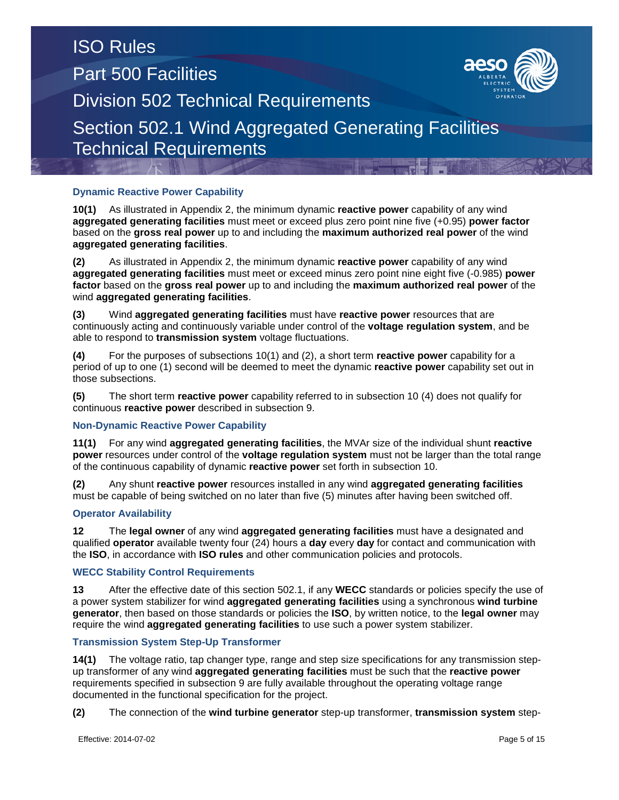### **Dynamic Reactive Power Capability**

**10(1)** As illustrated in Appendix 2, the minimum dynamic **reactive power** capability of any wind **aggregated generating facilities** must meet or exceed plus zero point nine five (+0.95) **power factor** based on the **gross real power** up to and including the **maximum authorized real power** of the wind **aggregated generating facilities**.

**(2)** As illustrated in Appendix 2, the minimum dynamic **reactive power** capability of any wind **aggregated generating facilities** must meet or exceed minus zero point nine eight five (-0.985) **power factor** based on the **gross real power** up to and including the **maximum authorized real power** of the wind **aggregated generating facilities**.

**(3)** Wind **aggregated generating facilities** must have **reactive power** resources that are continuously acting and continuously variable under control of the **voltage regulation system**, and be able to respond to **transmission system** voltage fluctuations.

**(4)** For the purposes of subsections 10(1) and (2), a short term **reactive power** capability for a period of up to one (1) second will be deemed to meet the dynamic **reactive power** capability set out in those subsections.

**(5)** The short term **reactive power** capability referred to in subsection 10 (4) does not qualify for continuous **reactive power** described in subsection 9.

### **Non-Dynamic Reactive Power Capability**

**11(1)** For any wind **aggregated generating facilities**, the MVAr size of the individual shunt **reactive power** resources under control of the **voltage regulation system** must not be larger than the total range of the continuous capability of dynamic **reactive power** set forth in subsection 10.

**(2)** Any shunt **reactive power** resources installed in any wind **aggregated generating facilities** must be capable of being switched on no later than five (5) minutes after having been switched off.

### **Operator Availability**

**12** The **legal owner** of any wind **aggregated generating facilities** must have a designated and qualified **operator** available twenty four (24) hours a **day** every **day** for contact and communication with the **ISO**, in accordance with **ISO rules** and other communication policies and protocols.

#### **WECC Stability Control Requirements**

**13** After the effective date of this section 502.1, if any **WECC** standards or policies specify the use of a power system stabilizer for wind **aggregated generating facilities** using a synchronous **wind turbine generator**, then based on those standards or policies the **ISO**, by written notice, to the **legal owner** may require the wind **aggregated generating facilities** to use such a power system stabilizer.

#### **Transmission System Step-Up Transformer**

**14(1)** The voltage ratio, tap changer type, range and step size specifications for any transmission stepup transformer of any wind **aggregated generating facilities** must be such that the **reactive power** requirements specified in subsection 9 are fully available throughout the operating voltage range documented in the functional specification for the project.

**(2)** The connection of the **wind turbine generator** step-up transformer, **transmission system** step-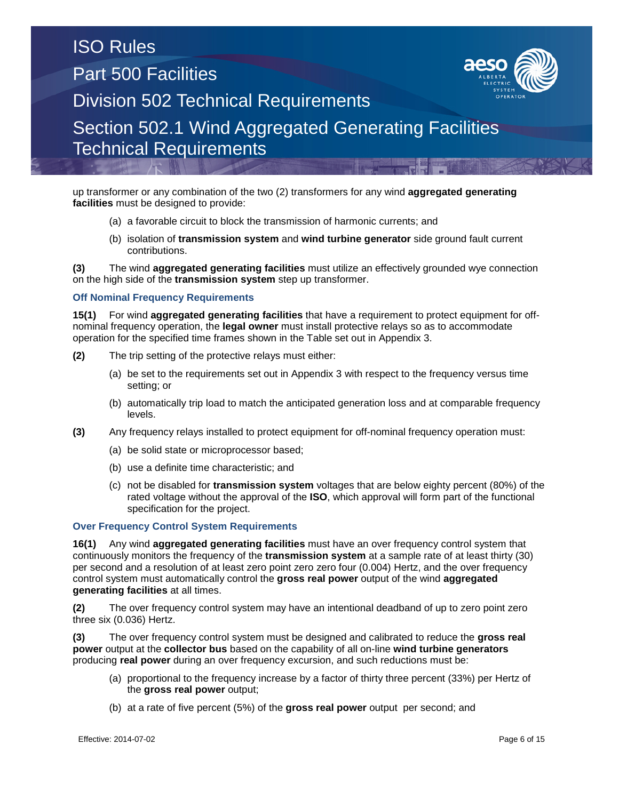up transformer or any combination of the two (2) transformers for any wind **aggregated generating facilities** must be designed to provide:

- (a) a favorable circuit to block the transmission of harmonic currents; and
- (b) isolation of **transmission system** and **wind turbine generator** side ground fault current contributions.

**(3)** The wind **aggregated generating facilities** must utilize an effectively grounded wye connection on the high side of the **transmission system** step up transformer.

### **Off Nominal Frequency Requirements**

**15(1)** For wind **aggregated generating facilities** that have a requirement to protect equipment for offnominal frequency operation, the **legal owner** must install protective relays so as to accommodate operation for the specified time frames shown in the Table set out in Appendix 3.

- **(2)** The trip setting of the protective relays must either:
	- (a) be set to the requirements set out in Appendix 3 with respect to the frequency versus time setting; or
	- (b) automatically trip load to match the anticipated generation loss and at comparable frequency levels.
- **(3)** Any frequency relays installed to protect equipment for off-nominal frequency operation must:
	- (a) be solid state or microprocessor based;
	- (b) use a definite time characteristic; and
	- (c) not be disabled for **transmission system** voltages that are below eighty percent (80%) of the rated voltage without the approval of the **ISO**, which approval will form part of the functional specification for the project.

### **Over Frequency Control System Requirements**

**16(1)** Any wind **aggregated generating facilities** must have an over frequency control system that continuously monitors the frequency of the **transmission system** at a sample rate of at least thirty (30) per second and a resolution of at least zero point zero zero four (0.004) Hertz, and the over frequency control system must automatically control the **gross real power** output of the wind **aggregated generating facilities** at all times.

**(2)** The over frequency control system may have an intentional deadband of up to zero point zero three six (0.036) Hertz.

**(3)** The over frequency control system must be designed and calibrated to reduce the **gross real power** output at the **collector bus** based on the capability of all on-line **wind turbine generators** producing **real power** during an over frequency excursion, and such reductions must be:

- (a) proportional to the frequency increase by a factor of thirty three percent (33%) per Hertz of the **gross real power** output;
- (b) at a rate of five percent (5%) of the **gross real power** output per second; and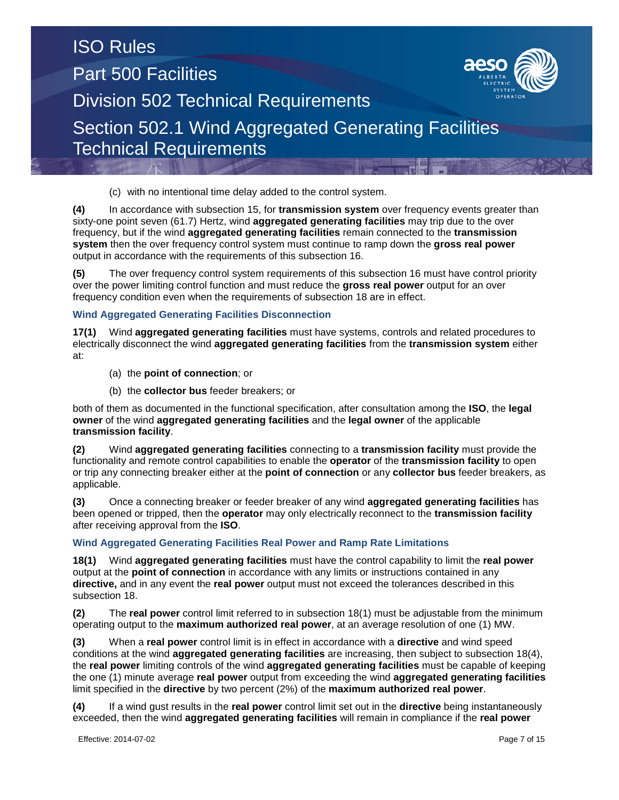(c) with no intentional time delay added to the control system.

**(4)** In accordance with subsection 15, for **transmission system** over frequency events greater than sixty-one point seven (61.7) Hertz, wind **aggregated generating facilities** may trip due to the over frequency, but if the wind **aggregated generating facilities** remain connected to the **transmission system** then the over frequency control system must continue to ramp down the **gross real power** output in accordance with the requirements of this subsection 16.

**(5)** The over frequency control system requirements of this subsection 16 must have control priority over the power limiting control function and must reduce the **gross real power** output for an over frequency condition even when the requirements of subsection 18 are in effect.

### **Wind Aggregated Generating Facilities Disconnection**

**17(1)** Wind **aggregated generating facilities** must have systems, controls and related procedures to electrically disconnect the wind **aggregated generating facilities** from the **transmission system** either at:

- (a) the **point of connection**; or
- (b) the **collector bus** feeder breakers; or

both of them as documented in the functional specification, after consultation among the **ISO**, the **legal owner** of the wind **aggregated generating facilities** and the **legal owner** of the applicable **transmission facility**.

**(2)** Wind **aggregated generating facilities** connecting to a **transmission facility** must provide the functionality and remote control capabilities to enable the **operator** of the **transmission facility** to open or trip any connecting breaker either at the **point of connection** or any **collector bus** feeder breakers, as applicable.

**(3)** Once a connecting breaker or feeder breaker of any wind **aggregated generating facilities** has been opened or tripped, then the **operator** may only electrically reconnect to the **transmission facility** after receiving approval from the **ISO**.

### **Wind Aggregated Generating Facilities Real Power and Ramp Rate Limitations**

**18(1)** Wind **aggregated generating facilities** must have the control capability to limit the **real power** output at the **point of connection** in accordance with any limits or instructions contained in any **directive,** and in any event the **real power** output must not exceed the tolerances described in this subsection 18.

**(2)** The **real power** control limit referred to in subsection 18(1) must be adjustable from the minimum operating output to the **maximum authorized real power**, at an average resolution of one (1) MW.

**(3)** When a **real power** control limit is in effect in accordance with a **directive** and wind speed conditions at the wind **aggregated generating facilities** are increasing, then subject to subsection 18(4), the **real power** limiting controls of the wind **aggregated generating facilities** must be capable of keeping the one (1) minute average **real power** output from exceeding the wind **aggregated generating facilities** limit specified in the **directive** by two percent (2%) of the **maximum authorized real power**.

**(4)** If a wind gust results in the **real power** control limit set out in the **directive** being instantaneously exceeded, then the wind **aggregated generating facilities** will remain in compliance if the **real power**

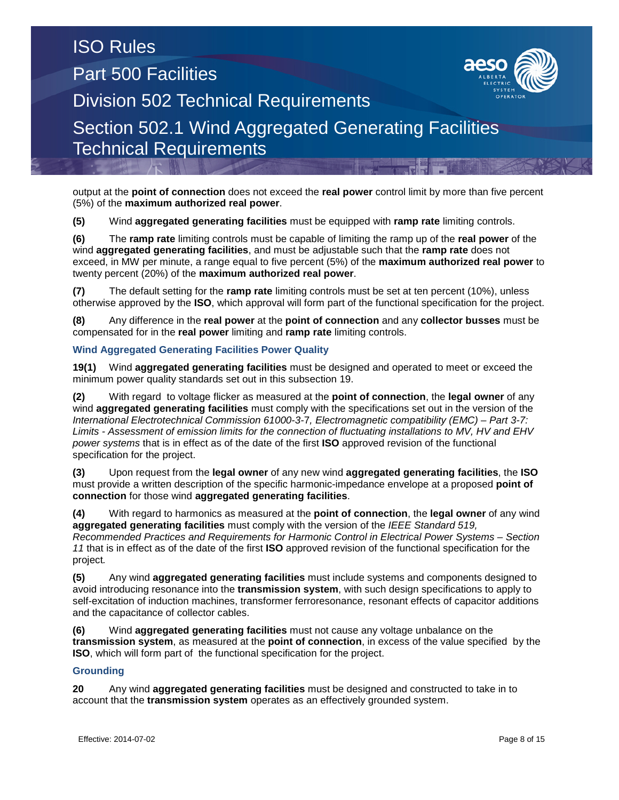output at the **point of connection** does not exceed the **real power** control limit by more than five percent (5%) of the **maximum authorized real power**.

**(5)** Wind **aggregated generating facilities** must be equipped with **ramp rate** limiting controls.

**(6)** The **ramp rate** limiting controls must be capable of limiting the ramp up of the **real power** of the wind **aggregated generating facilities**, and must be adjustable such that the **ramp rate** does not exceed, in MW per minute, a range equal to five percent (5%) of the **maximum authorized real power** to twenty percent (20%) of the **maximum authorized real power**.

**(7)** The default setting for the **ramp rate** limiting controls must be set at ten percent (10%), unless otherwise approved by the **ISO**, which approval will form part of the functional specification for the project.

**(8)** Any difference in the **real power** at the **point of connection** and any **collector busses** must be compensated for in the **real power** limiting and **ramp rate** limiting controls.

### **Wind Aggregated Generating Facilities Power Quality**

**19(1)** Wind **aggregated generating facilities** must be designed and operated to meet or exceed the minimum power quality standards set out in this subsection 19.

**(2)** With regard to voltage flicker as measured at the **point of connection**, the **legal owner** of any wind **aggregated generating facilities** must comply with the specifications set out in the version of the *International Electrotechnical Commission 61000-3-*7*, Electromagnetic compatibility (EMC) – Part 3-7: Limits - Assessment of emission limits for the connection of fluctuating installations to MV, HV and EHV power systems* that is in effect as of the date of the first **ISO** approved revision of the functional specification for the project.

**(3)** Upon request from the **legal owner** of any new wind **aggregated generating facilities**, the **ISO** must provide a written description of the specific harmonic-impedance envelope at a proposed **point of connection** for those wind **aggregated generating facilities**.

**(4)** With regard to harmonics as measured at the **point of connection**, the **legal owner** of any wind **aggregated generating facilities** must comply with the version of the *IEEE Standard 519, Recommended Practices and Requirements for Harmonic Control in Electrical Power Systems – Section 11* that is in effect as of the date of the first **ISO** approved revision of the functional specification for the project*.*

**(5)** Any wind **aggregated generating facilities** must include systems and components designed to avoid introducing resonance into the **transmission system**, with such design specifications to apply to self-excitation of induction machines, transformer ferroresonance, resonant effects of capacitor additions and the capacitance of collector cables.

**(6)** Wind **aggregated generating facilities** must not cause any voltage unbalance on the **transmission system**, as measured at the **point of connection**, in excess of the value specified by the **ISO**, which will form part of the functional specification for the project.

### **Grounding**

**20** Any wind **aggregated generating facilities** must be designed and constructed to take in to account that the **transmission system** operates as an effectively grounded system.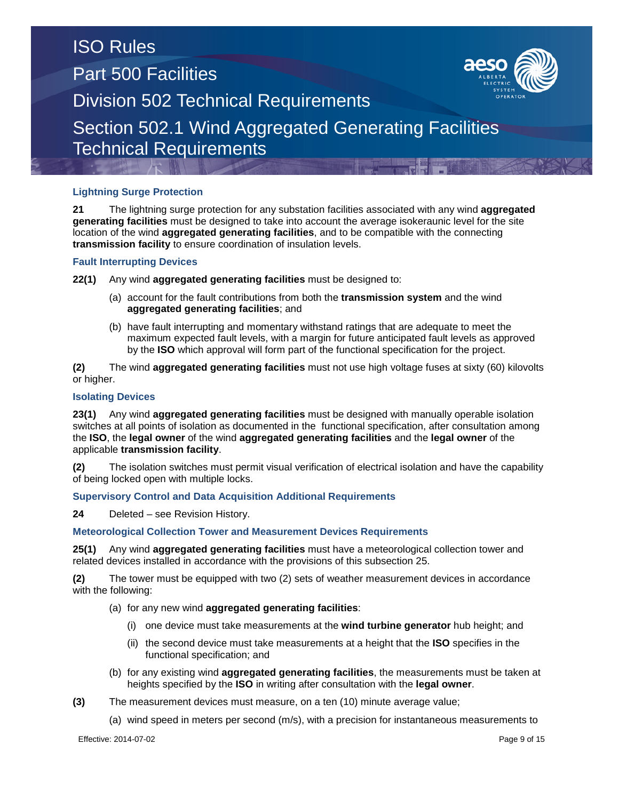### **Lightning Surge Protection**

**21** The lightning surge protection for any substation facilities associated with any wind **aggregated generating facilities** must be designed to take into account the average isokeraunic level for the site location of the wind **aggregated generating facilities**, and to be compatible with the connecting **transmission facility** to ensure coordination of insulation levels.

### **Fault Interrupting Devices**

**22(1)** Any wind **aggregated generating facilities** must be designed to:

- (a) account for the fault contributions from both the **transmission system** and the wind **aggregated generating facilities**; and
- (b) have fault interrupting and momentary withstand ratings that are adequate to meet the maximum expected fault levels, with a margin for future anticipated fault levels as approved by the **ISO** which approval will form part of the functional specification for the project.

**(2)** The wind **aggregated generating facilities** must not use high voltage fuses at sixty (60) kilovolts or higher.

### **Isolating Devices**

**23(1)** Any wind **aggregated generating facilities** must be designed with manually operable isolation switches at all points of isolation as documented in the functional specification, after consultation among the **ISO**, the **legal owner** of the wind **aggregated generating facilities** and the **legal owner** of the applicable **transmission facility**.

**(2)** The isolation switches must permit visual verification of electrical isolation and have the capability of being locked open with multiple locks.

### **Supervisory Control and Data Acquisition Additional Requirements**

**24** Deleted – see Revision History.

### **Meteorological Collection Tower and Measurement Devices Requirements**

**25(1)** Any wind **aggregated generating facilities** must have a meteorological collection tower and related devices installed in accordance with the provisions of this subsection 25.

**(2)** The tower must be equipped with two (2) sets of weather measurement devices in accordance with the following:

- (a) for any new wind **aggregated generating facilities**:
	- (i) one device must take measurements at the **wind turbine generator** hub height; and
	- (ii) the second device must take measurements at a height that the **ISO** specifies in the functional specification; and
- (b) for any existing wind **aggregated generating facilities**, the measurements must be taken at heights specified by the **ISO** in writing after consultation with the **legal owner**.
- **(3)** The measurement devices must measure, on a ten (10) minute average value;
	- (a) wind speed in meters per second (m/s), with a precision for instantaneous measurements to

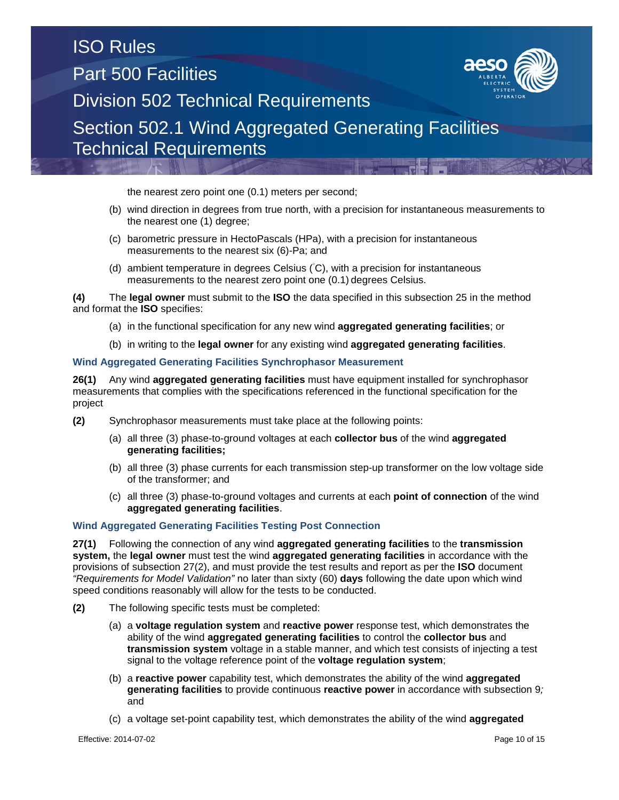the nearest zero point one (0.1) meters per second;

- (b) wind direction in degrees from true north, with a precision for instantaneous measurements to the nearest one (1) degree;
- (c) barometric pressure in HectoPascals (HPa), with a precision for instantaneous measurements to the nearest six (6)-Pa; and
- (d) ambient temperature in degrees Celsius ( C), with a precision for instantaneous measurements to the nearest zero point one (0.1) degrees Celsius.

**(4)** The **legal owner** must submit to the **ISO** the data specified in this subsection 25 in the method and format the **ISO** specifies:

- (a) in the functional specification for any new wind **aggregated generating facilities**; or
- (b) in writing to the **legal owner** for any existing wind **aggregated generating facilities**.

#### **Wind Aggregated Generating Facilities Synchrophasor Measurement**

**26(1)** Any wind **aggregated generating facilities** must have equipment installed for synchrophasor measurements that complies with the specifications referenced in the functional specification for the project

- **(2)** Synchrophasor measurements must take place at the following points:
	- (a) all three (3) phase-to-ground voltages at each **collector bus** of the wind **aggregated generating facilities;**
	- (b) all three (3) phase currents for each transmission step-up transformer on the low voltage side of the transformer; and
	- (c) all three (3) phase-to-ground voltages and currents at each **point of connection** of the wind **aggregated generating facilities**.

#### **Wind Aggregated Generating Facilities Testing Post Connection**

**27(1)** Following the connection of any wind **aggregated generating facilities** to the **transmission system,** the **legal owner** must test the wind **aggregated generating facilities** in accordance with the provisions of subsection 27(2), and must provide the test results and report as per the **ISO** document *"Requirements for Model Validation"* no later than sixty (60) **days** following the date upon which wind speed conditions reasonably will allow for the tests to be conducted.

- **(2)** The following specific tests must be completed:
	- (a) a **voltage regulation system** and **reactive power** response test, which demonstrates the ability of the wind **aggregated generating facilities** to control the **collector bus** and **transmission system** voltage in a stable manner, and which test consists of injecting a test signal to the voltage reference point of the **voltage regulation system**;
	- (b) a **reactive power** capability test, which demonstrates the ability of the wind **aggregated generating facilities** to provide continuous **reactive power** in accordance with subsection 9*;* and
	- (c) a voltage set-point capability test, which demonstrates the ability of the wind **aggregated**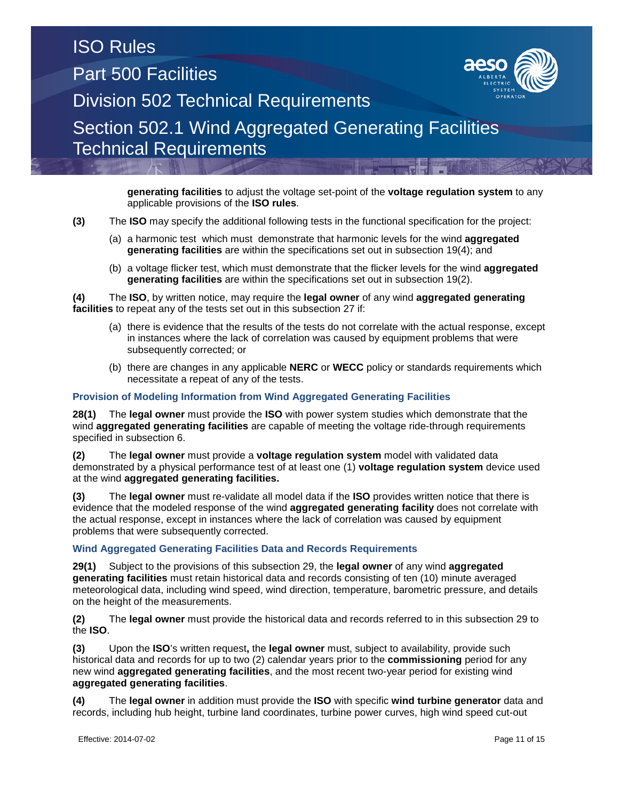**generating facilities** to adjust the voltage set-point of the **voltage regulation system** to any applicable provisions of the **ISO rules**.

**(3)** The **ISO** may specify the additional following tests in the functional specification for the project:

- (a) a harmonic test which must demonstrate that harmonic levels for the wind **aggregated generating facilities** are within the specifications set out in subsection 19(4); and
- (b) a voltage flicker test, which must demonstrate that the flicker levels for the wind **aggregated generating facilities** are within the specifications set out in subsection 19(2).

**(4)** The **ISO**, by written notice, may require the **legal owner** of any wind **aggregated generating facilities** to repeat any of the tests set out in this subsection 27 if:

- (a) there is evidence that the results of the tests do not correlate with the actual response, except in instances where the lack of correlation was caused by equipment problems that were subsequently corrected; or
- (b) there are changes in any applicable **NERC** or **WECC** policy or standards requirements which necessitate a repeat of any of the tests.

### **Provision of Modeling Information from Wind Aggregated Generating Facilities**

**28(1)** The **legal owner** must provide the **ISO** with power system studies which demonstrate that the wind **aggregated generating facilities** are capable of meeting the voltage ride-through requirements specified in subsection 6.

**(2)** The **legal owner** must provide a **voltage regulation system** model with validated data demonstrated by a physical performance test of at least one (1) **voltage regulation system** device used at the wind **aggregated generating facilities.**

**(3)** The **legal owner** must re-validate all model data if the **ISO** provides written notice that there is evidence that the modeled response of the wind **aggregated generating facility** does not correlate with the actual response, except in instances where the lack of correlation was caused by equipment problems that were subsequently corrected.

#### **Wind Aggregated Generating Facilities Data and Records Requirements**

**29(1)** Subject to the provisions of this subsection 29, the **legal owner** of any wind **aggregated generating facilities** must retain historical data and records consisting of ten (10) minute averaged meteorological data, including wind speed, wind direction, temperature, barometric pressure, and details on the height of the measurements.

**(2)** The **legal owner** must provide the historical data and records referred to in this subsection 29 to the **ISO**.

**(3)** Upon the **ISO**'s written request**,** the **legal owner** must, subject to availability, provide such historical data and records for up to two (2) calendar years prior to the **commissioning** period for any new wind **aggregated generating facilities**, and the most recent two-year period for existing wind **aggregated generating facilities**.

**(4)** The **legal owner** in addition must provide the **ISO** with specific **wind turbine generator** data and records, including hub height, turbine land coordinates, turbine power curves, high wind speed cut-out

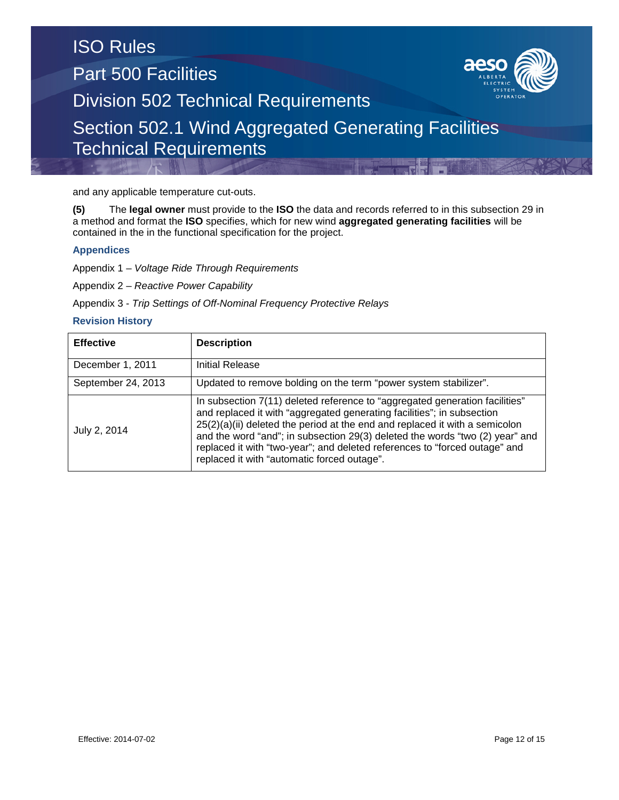and any applicable temperature cut-outs.

**(5)** The **legal owner** must provide to the **ISO** the data and records referred to in this subsection 29 in a method and format the **ISO** specifies, which for new wind **aggregated generating facilities** will be contained in the in the functional specification for the project.

### **Appendices**

Appendix 1 – *Voltage Ride Through Requirements*

Appendix 2 – *Reactive Power Capability*

Appendix 3 - *Trip Settings of Off-Nominal Frequency Protective Relays*

### **Revision History**

| <b>Effective</b>   | <b>Description</b>                                                                                                                                                                                                                                                                                                                                                                                                                                  |
|--------------------|-----------------------------------------------------------------------------------------------------------------------------------------------------------------------------------------------------------------------------------------------------------------------------------------------------------------------------------------------------------------------------------------------------------------------------------------------------|
| December 1, 2011   | Initial Release                                                                                                                                                                                                                                                                                                                                                                                                                                     |
| September 24, 2013 | Updated to remove bolding on the term "power system stabilizer".                                                                                                                                                                                                                                                                                                                                                                                    |
| July 2, 2014       | In subsection 7(11) deleted reference to "aggregated generation facilities"<br>and replaced it with "aggregated generating facilities"; in subsection<br>$25(2)(a)(ii)$ deleted the period at the end and replaced it with a semicolon<br>and the word "and"; in subsection 29(3) deleted the words "two (2) year" and<br>replaced it with "two-year"; and deleted references to "forced outage" and<br>replaced it with "automatic forced outage". |

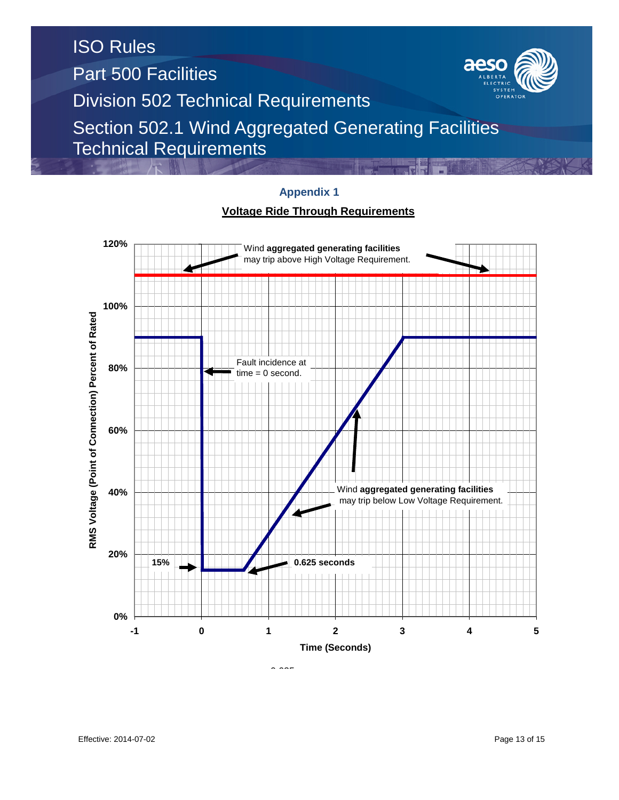

### **Appendix 1**

### **Voltage Ride Through Requirements**

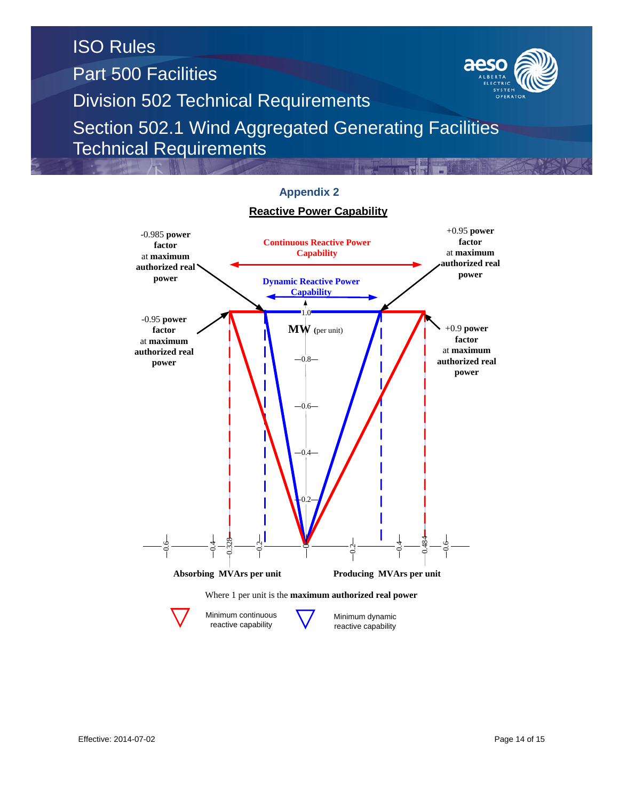



reactive capability

reactive capability

### **Appendix 2**